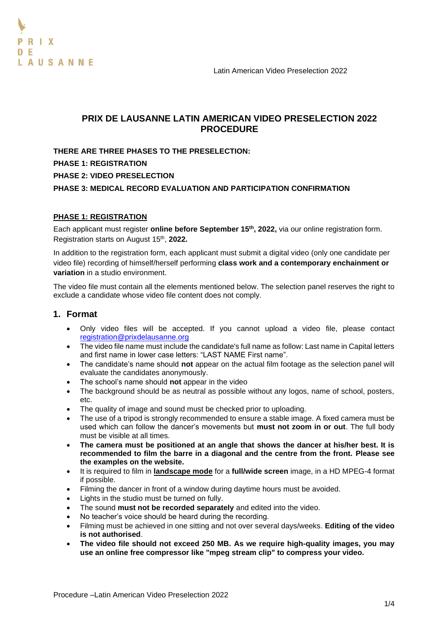Latin American Video Preselection 2022



# **PRIX DE LAUSANNE LATIN AMERICAN VIDEO PRESELECTION 2022 PROCEDURE**

**THERE ARE THREE PHASES TO THE PRESELECTION: PHASE 1: REGISTRATION PHASE 2: VIDEO PRESELECTION PHASE 3: MEDICAL RECORD EVALUATION AND PARTICIPATION CONFIRMATION**

## **PHASE 1: REGISTRATION**

Each applicant must register **online before September 15th , 2022,** via our online registration form. Registration starts on August 15th , **2022.** 

In addition to the registration form, each applicant must submit a digital video (only one candidate per video file) recording of himself/herself performing **class work and a contemporary enchainment or variation** in a studio environment.

The video file must contain all the elements mentioned below. The selection panel reserves the right to exclude a candidate whose video file content does not comply.

# **1. Format**

- Only video files will be accepted. If you cannot upload a video file, please contact [registration@prixdelausanne.org](mailto:registration@prixdelausanne.org)
- The video file name must include the candidate's full name as follow: Last name in Capital letters and first name in lower case letters: "LAST NAME First name".
- The candidate's name should **not** appear on the actual film footage as the selection panel will evaluate the candidates anonymously.
- The school's name should **not** appear in the video
- The background should be as neutral as possible without any logos, name of school, posters, etc.
- The quality of image and sound must be checked prior to uploading.
- The use of a tripod is strongly recommended to ensure a stable image. A fixed camera must be used which can follow the dancer's movements but **must not zoom in or out**. The full body must be visible at all times.
- **The camera must be positioned at an angle that shows the dancer at his/her best. It is recommended to film the barre in a diagonal and the centre from the front. Please see the examples on the website.**
- It is required to film in **landscape mode** for a **full/wide screen** image, in a HD MPEG-4 format if possible.
- Filming the dancer in front of a window during daytime hours must be avoided.
- Lights in the studio must be turned on fully.
- The sound **must not be recorded separately** and edited into the video.
- No teacher's voice should be heard during the recording.
- Filming must be achieved in one sitting and not over several days/weeks. **Editing of the video is not authorised**.
- **The video file should not exceed 250 MB. As we require high-quality images, you may use an online free compressor like "mpeg stream clip" to compress your video.**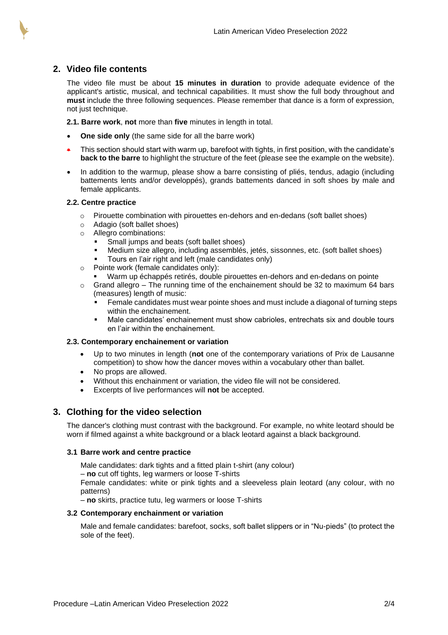# **2. Video file contents**

The video file must be about **15 minutes in duration** to provide adequate evidence of the applicant's artistic, musical, and technical capabilities. It must show the full body throughout and **must** include the three following sequences. Please remember that dance is a form of expression, not just technique.

**2.1. Barre work**, **not** more than **five** minutes in length in total.

- **One side only** (the same side for all the barre work)
- This section should start with warm up, barefoot with tights, in first position, with the candidate's **back to the barre** to highlight the structure of the feet (please see the example on the website).
- In addition to the warmup, please show a barre consisting of pliés, tendus, adagio (including battements lents and/or developpés), grands battements danced in soft shoes by male and female applicants.

### **2.2. Centre practice**

- $\circ$  Pirouette combination with pirouettes en-dehors and en-dedans (soft ballet shoes)
- o Adagio (soft ballet shoes)
- o Allegro combinations:
	- Small jumps and beats (soft ballet shoes)
	- Medium size allegro, including assemblés, jetés, sissonnes, etc. (soft ballet shoes)
	- Tours en l'air right and left (male candidates only)
- o Pointe work (female candidates only):
	- Warm up échappés retirés, double pirouettes en-dehors and en-dedans on pointe
- $\circ$  Grand allegro The running time of the enchainement should be 32 to maximum 64 bars (measures) length of music:
	- Female candidates must wear pointe shoes and must include a diagonal of turning steps within the enchainement.
	- Male candidates' enchainement must show cabrioles, entrechats six and double tours en l'air within the enchainement.

#### **2.3. Contemporary enchainement or variation**

- Up to two minutes in length (**not** one of the contemporary variations of Prix de Lausanne competition) to show how the dancer moves within a vocabulary other than ballet.
- No props are allowed.
- Without this enchainment or variation, the video file will not be considered.
- Excerpts of live performances will **not** be accepted.

## **3. Clothing for the video selection**

The dancer's clothing must contrast with the background. For example, no white leotard should be worn if filmed against a white background or a black leotard against a black background.

#### **3.1 Barre work and centre practice**

Male candidates: dark tights and a fitted plain t-shirt (any colour)

– **no** cut off tights, leg warmers or loose T-shirts

Female candidates: white or pink tights and a sleeveless plain leotard (any colour, with no patterns)

– **no** skirts, practice tutu, leg warmers or loose T-shirts

#### **3.2 Contemporary enchainment or variation**

Male and female candidates: barefoot, socks, soft ballet slippers or in "Nu-pieds" (to protect the sole of the feet).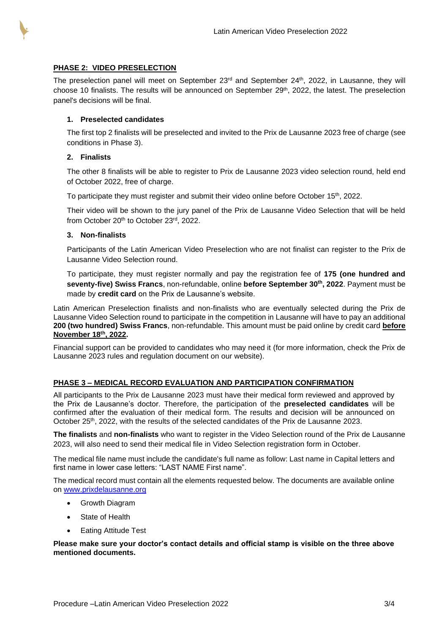

## **PHASE 2: VIDEO PRESELECTION**

The preselection panel will meet on September  $23<sup>rd</sup>$  and September  $24<sup>th</sup>$ ,  $2022$ , in Lausanne, they will choose 10 finalists. The results will be announced on September 29<sup>th</sup>, 2022, the latest. The preselection panel's decisions will be final.

## **1. Preselected candidates**

The first top 2 finalists will be preselected and invited to the Prix de Lausanne 2023 free of charge (see conditions in Phase 3).

### **2. Finalists**

The other 8 finalists will be able to register to Prix de Lausanne 2023 video selection round, held end of October 2022, free of charge.

To participate they must register and submit their video online before October 15<sup>th</sup>, 2022.

Their video will be shown to the jury panel of the Prix de Lausanne Video Selection that will be held from October 20th to October 23rd, 2022.

### **3. Non-finalists**

Participants of the Latin American Video Preselection who are not finalist can register to the Prix de Lausanne Video Selection round.

To participate, they must register normally and pay the registration fee of **175 (one hundred and seventy-five) Swiss Francs**, non-refundable, online **before September 30th, 2022**. Payment must be made by **credit card** on the Prix de Lausanne's website.

Latin American Preselection finalists and non-finalists who are eventually selected during the Prix de Lausanne Video Selection round to participate in the competition in Lausanne will have to pay an additional **200 (two hundred) Swiss Francs**, non-refundable. This amount must be paid online by credit card **before November 18th, 2022.**

Financial support can be provided to candidates who may need it (for more information, check the Prix de Lausanne 2023 rules and regulation document on our website).

## **PHASE 3 – MEDICAL RECORD EVALUATION AND PARTICIPATION CONFIRMATION**

All participants to the Prix de Lausanne 2023 must have their medical form reviewed and approved by the Prix de Lausanne's doctor. Therefore, the participation of the **preselected candidates** will be confirmed after the evaluation of their medical form. The results and decision will be announced on October 25<sup>th</sup>, 2022, with the results of the selected candidates of the Prix de Lausanne 2023.

**The finalists** and **non-finalists** who want to register in the Video Selection round of the Prix de Lausanne 2023, will also need to send their medical file in Video Selection registration form in October.

The medical file name must include the candidate's full name as follow: Last name in Capital letters and first name in lower case letters: "LAST NAME First name".

The medical record must contain all the elements requested below. The documents are available online on [www.prixdelausanne.org](http://www.prixdelausanne.org/)

- Growth Diagram
- [State of Health](http://www.prixdelausanne.org/pdf/2011/en/Health-State-e.pdf)
- [Eating Attitude Test](http://www.prixdelausanne.org/pdf/2011/en/Eating-Attitude-Test-e.pdf)

**Please make sure your doctor's contact details and official stamp is visible on the three above mentioned documents.**